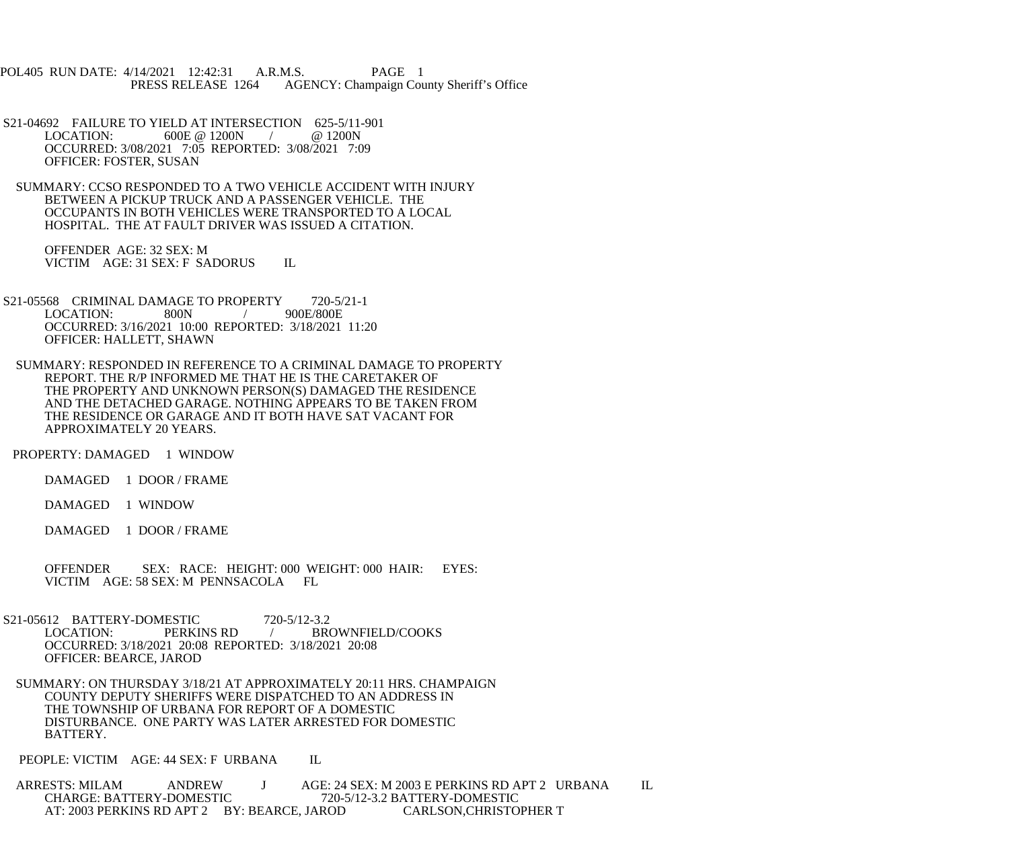POL405 RUN DATE: 4/14/2021 12:42:31 A.R.M.S. PAGE 1 PRESS RELEASE 1264 AGENCY: Champaign County Sheriff's Office

S21-04692 FAILURE TO YIELD AT INTERSECTION 625-5/11-901<br>LOCATION: 600E @ 1200N / @ 1200N 600E @ 1200N / OCCURRED: 3/08/2021 7:05 REPORTED: 3/08/2021 7:09 OFFICER: FOSTER, SUSAN

 SUMMARY: CCSO RESPONDED TO A TWO VEHICLE ACCIDENT WITH INJURY BETWEEN A PICKUP TRUCK AND A PASSENGER VEHICLE. THE OCCUPANTS IN BOTH VEHICLES WERE TRANSPORTED TO A LOCAL HOSPITAL. THE AT FAULT DRIVER WAS ISSUED A CITATION.

 OFFENDER AGE: 32 SEX: M VICTIM AGE: 31 SEX: F SADORUS IL

- S21-05568 CRIMINAL DAMAGE TO PROPERTY 720-5/21-1<br>LOCATION: 800N / 900E/800E  $LOGATION:$  800N / OCCURRED: 3/16/2021 10:00 REPORTED: 3/18/2021 11:20 OFFICER: HALLETT, SHAWN
	- SUMMARY: RESPONDED IN REFERENCE TO A CRIMINAL DAMAGE TO PROPERTY REPORT. THE R/P INFORMED ME THAT HE IS THE CARETAKER OF THE PROPERTY AND UNKNOWN PERSON(S) DAMAGED THE RESIDENCE AND THE DETACHED GARAGE. NOTHING APPEARS TO BE TAKEN FROM THE RESIDENCE OR GARAGE AND IT BOTH HAVE SAT VACANT FOR APPROXIMATELY 20 YEARS.

PROPERTY: DAMAGED 1 WINDOW

DAMAGED 1 DOOR / FRAME

DAMAGED 1 WINDOW

DAMAGED 1 DOOR / FRAME

 OFFENDER SEX: RACE: HEIGHT: 000 WEIGHT: 000 HAIR: EYES: VICTIM AGE: 58 SEX: M PENNSACOLA FL

S21-05612 BATTERY-DOMESTIC 720-5/12-3.2<br>LOCATION: PERKINS RD / BR LOCATION: PERKINS RD / BROWNFIELD/COOKS OCCURRED: 3/18/2021 20:08 REPORTED: 3/18/2021 20:08 OFFICER: BEARCE, JAROD

 SUMMARY: ON THURSDAY 3/18/21 AT APPROXIMATELY 20:11 HRS. CHAMPAIGN COUNTY DEPUTY SHERIFFS WERE DISPATCHED TO AN ADDRESS IN THE TOWNSHIP OF URBANA FOR REPORT OF A DOMESTIC DISTURBANCE. ONE PARTY WAS LATER ARRESTED FOR DOMESTIC BATTERY.

PEOPLE: VICTIM AGE: 44 SEX: F URBANA IL

ARRESTS: MILAM ANDREW J AGE: 24 SEX: M 2003 E PERKINS RD APT 2 URBANA IL<br>CHARGE: BATTERY-DOMESTIC 720-5/12-3.2 BATTERY-DOMESTIC CHARGE: BATTERY-DOMESTIC 720-5/12-3.2 BATTERY-DOMESTIC AT: 2003 PERKINS RD APT 2 BY: BEARCE, JAROD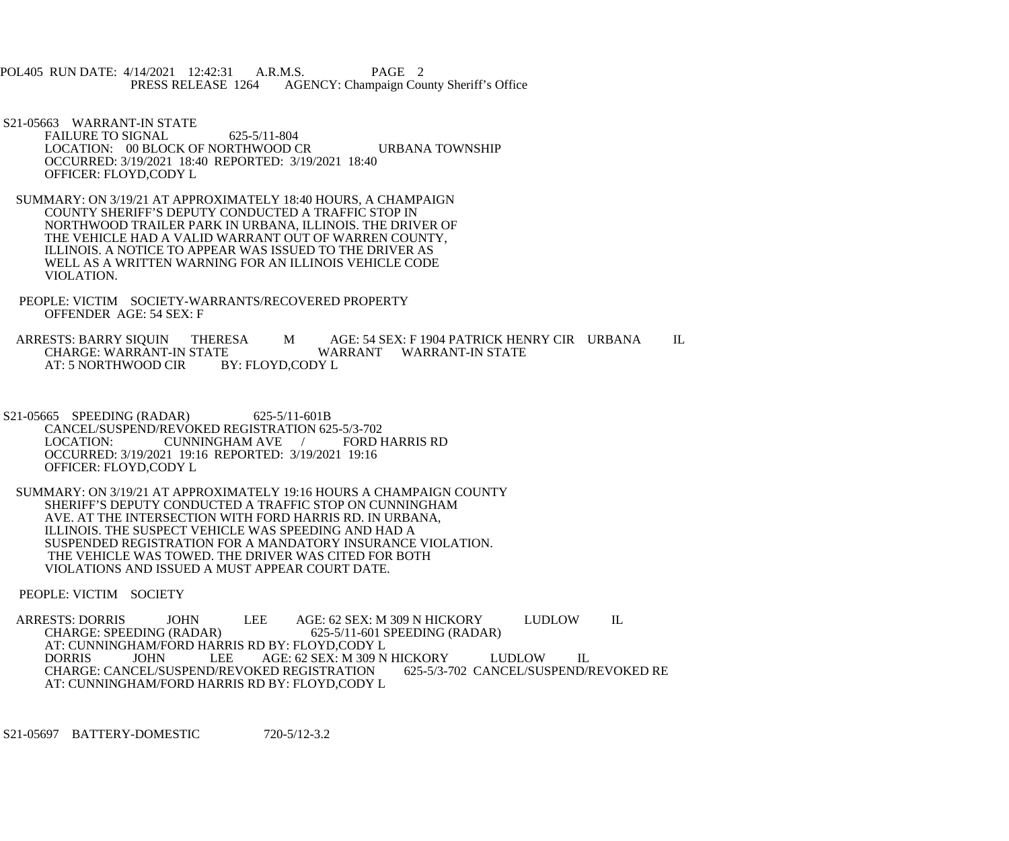POL405 RUN DATE: 4/14/2021 12:42:31 A.R.M.S. PAGE 2<br>PRESS RELEASE 1264 AGENCY: Champaign Cou AGENCY: Champaign County Sheriff's Office

- S21-05663 WARRANT-IN STATE FAILURE TO SIGNAL 625-5/11-804 LOCATION: 00 BLOCK OF NORTHWOOD CR URBANA TOWNSHIP OCCURRED: 3/19/2021 18:40 REPORTED: 3/19/2021 18:40 OFFICER: FLOYD,CODY L
- SUMMARY: ON 3/19/21 AT APPROXIMATELY 18:40 HOURS, A CHAMPAIGN COUNTY SHERIFF'S DEPUTY CONDUCTED A TRAFFIC STOP IN NORTHWOOD TRAILER PARK IN URBANA, ILLINOIS. THE DRIVER OF THE VEHICLE HAD A VALID WARRANT OUT OF WARREN COUNTY, ILLINOIS. A NOTICE TO APPEAR WAS ISSUED TO THE DRIVER AS WELL AS A WRITTEN WARNING FOR AN ILLINOIS VEHICLE CODE VIOLATION.
- PEOPLE: VICTIM SOCIETY-WARRANTS/RECOVERED PROPERTY OFFENDER AGE: 54 SEX: F

ARRESTS: BARRY SIQUIN THERESA M AGE: 54 SEX: F 1904 PATRICK HENRY CIR URBANA IL<br>CHARGE: WARRANT-IN STATE WARRANT WARRANT-IN STATE E WARRANT WARRANT-IN STATE<br>BY: FLOYD,CODY L AT: 5 NORTHWOOD CIR

- S21-05665 SPEEDING (RADAR) 625-5/11-601B CANCEL/SUSPEND/REVOKED REGISTRATION 625-5/3-702<br>LOCATION: CUNNINGHAM AVE / FORD HARRIS RD CUNNINGHAM AVE / OCCURRED: 3/19/2021 19:16 REPORTED: 3/19/2021 19:16 OFFICER: FLOYD,CODY L
- SUMMARY: ON 3/19/21 AT APPROXIMATELY 19:16 HOURS A CHAMPAIGN COUNTY SHERIFF'S DEPUTY CONDUCTED A TRAFFIC STOP ON CUNNINGHAM AVE. AT THE INTERSECTION WITH FORD HARRIS RD. IN URBANA, ILLINOIS. THE SUSPECT VEHICLE WAS SPEEDING AND HAD A SUSPENDED REGISTRATION FOR A MANDATORY INSURANCE VIOLATION. THE VEHICLE WAS TOWED. THE DRIVER WAS CITED FOR BOTH VIOLATIONS AND ISSUED A MUST APPEAR COURT DATE.

PEOPLE: VICTIM SOCIETY

ARRESTS: DORRIS JOHN LEE AGE: 62 SEX: M 309 N HICKORY LUDLOW IL<br>CHARGE: SPEEDING (RADAR) 625-5/11-601 SPEEDING (RADAR) 625-5/11-601 SPEEDING (RADAR) AT: CUNNINGHAM/FORD HARRIS RD BY: FLOYD,CODY L<br>DORRIS JOHN LEE AGE: 62 SEX: M 309 N DORRIS JOHN LEE AGE: 62 SEX: M 309 N HICKORY LUDLOW IL<br>CHARGE: CANCEL/SUSPEND/REVOKED REGISTRATION 625-5/3-702 CANCEL/SUSPEND/REVOKED RE CHARGE: CANCEL/SUSPEND/REVOKED REGISTRATION AT: CUNNINGHAM/FORD HARRIS RD BY: FLOYD,CODY L

S21-05697 BATTERY-DOMESTIC 720-5/12-3.2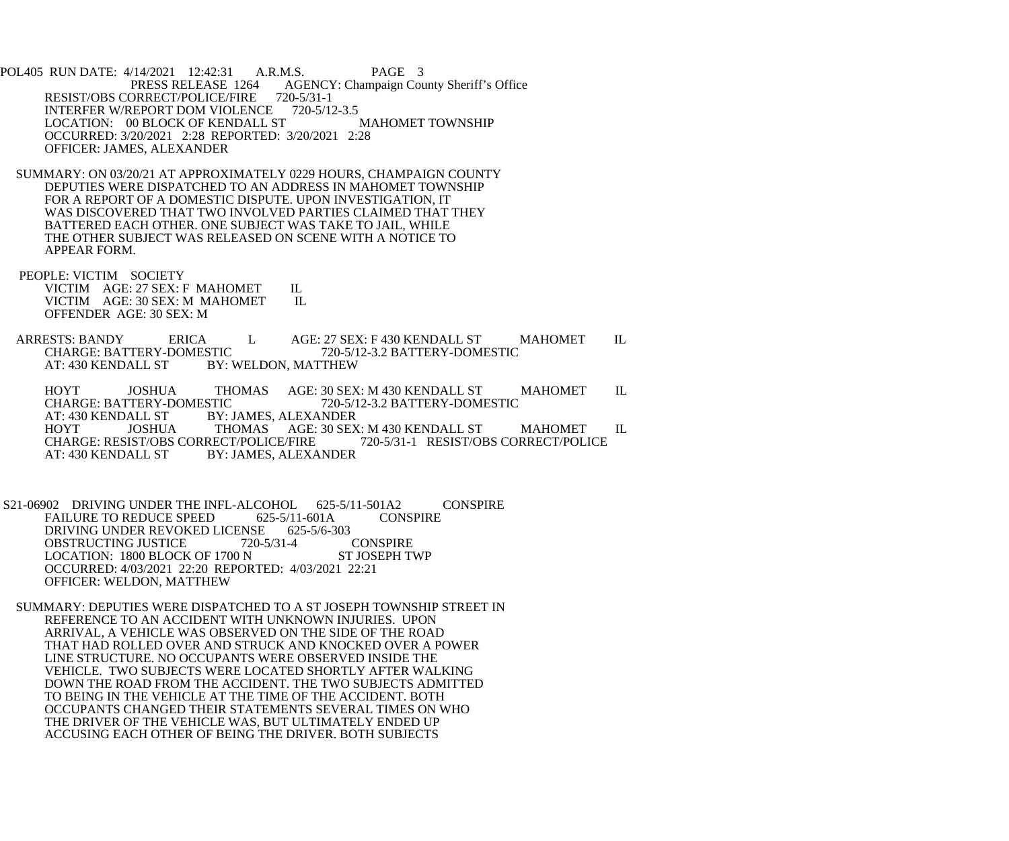POL405 RUN DATE: 4/14/2021 12:42:31 A.R.M.S. PAGE 3<br>PRESS RELEASE 1264 AGENCY: Champaign Cou AGENCY: Champaign County Sheriff's Office RESIST/OBS CORRECT/POLICE/FIRE 720-5/31-1<br>INTERFER W/REPORT DOM VIOLENCE 720-5/12-3.5 INTERFER W/REPORT DOM VIOLENCE 720-5/12-3.5<br>LOCATION: 00 BLOCK OF KENDALL ST MAHOMET TOWNSHIP LOCATION: 00 BLOCK OF KENDALL ST OCCURRED: 3/20/2021 2:28 REPORTED: 3/20/2021 2:28 OFFICER: JAMES, ALEXANDER

 SUMMARY: ON 03/20/21 AT APPROXIMATELY 0229 HOURS, CHAMPAIGN COUNTY DEPUTIES WERE DISPATCHED TO AN ADDRESS IN MAHOMET TOWNSHIP FOR A REPORT OF A DOMESTIC DISPUTE. UPON INVESTIGATION, IT WAS DISCOVERED THAT TWO INVOLVED PARTIES CLAIMED THAT THEY BATTERED EACH OTHER. ONE SUBJECT WAS TAKE TO JAIL, WHILE THE OTHER SUBJECT WAS RELEASED ON SCENE WITH A NOTICE TO APPEAR FORM.

 PEOPLE: VICTIM SOCIETY VICTIM AGE: 27 SEX: F MAHOMET IL<br>VICTIM AGE: 30 SEX: M MAHOMET IL VICTIM AGE: 30 SEX: M MAHOMET OFFENDER AGE: 30 SEX: M

ARRESTS: BANDY ERICA L AGE: 27 SEX: F 430 KENDALL ST MAHOMET IL CHARGE: BATTERY-DOMESTIC 720-5/12-3.2 BATTERY-DOMESTIC CHARGE: BATTERY-DOMESTIC 720-5/12-3.2 BATTERY-DOMESTIC<br>AT: 430 KENDALL ST BY: WELDON. MATTHEW BY: WELDON, MATTHEW

HOYT JOSHUA THOMAS AGE: 30 SEX: M 430 KENDALL ST MAHOMET IL CHARGE: BATTERY-DOMESTIC 720-5/12-3.2 BATTERY-DOMESTIC CHARGE: BATTERY-DOMESTIC 720-5/12-3.2 BATTERY-DOMESTIC<br>AT: 430 KENDALL ST BY: JAMES. ALEXANDER **BY: JAMES, ALEXANDER** HOYT JOSHUA THOMAS AGE: 30 SEX: M 430 KENDALL ST MAHOMET IL CHARGE: RESIST/OBS CORRECT/POLICE/FIRE 720-5/31-1 RESIST/OBS CORRECT/POLICE CHARGE: RESIST/OBS CORRECT/POLICE/FIRE<br>AT: 430 KENDALL ST BY: JAMES, ALEXA **BY: JAMES, ALEXANDER** 

 S21-06902 DRIVING UNDER THE INFL-ALCOHOL 625-5/11-501A2 CONSPIRE FAILURE TO REDUCE SPEED 625-5/11-601A CONSPIRE<br>DRIVING UNDER REVOKED LICENSE 625-5/6-303 DRIVING UNDER REVOKED LICENSE 625-5/6-303<br>OBSTRUCTING JUSTICE 720-5/31-4 CONSPIRE OBSTRUCTING JUSTICE 720-5/31-4 CONSPIRE<br>
LOCATION: 1800 BLOCK OF 1700 N ST JOSEPH TWP LOCATION: 1800 BLOCK OF 1700 N OCCURRED: 4/03/2021 22:20 REPORTED: 4/03/2021 22:21 OFFICER: WELDON, MATTHEW

 SUMMARY: DEPUTIES WERE DISPATCHED TO A ST JOSEPH TOWNSHIP STREET IN REFERENCE TO AN ACCIDENT WITH UNKNOWN INJURIES. UPON ARRIVAL, A VEHICLE WAS OBSERVED ON THE SIDE OF THE ROAD THAT HAD ROLLED OVER AND STRUCK AND KNOCKED OVER A POWER LINE STRUCTURE. NO OCCUPANTS WERE OBSERVED INSIDE THE VEHICLE. TWO SUBJECTS WERE LOCATED SHORTLY AFTER WALKING DOWN THE ROAD FROM THE ACCIDENT. THE TWO SUBJECTS ADMITTED TO BEING IN THE VEHICLE AT THE TIME OF THE ACCIDENT. BOTH OCCUPANTS CHANGED THEIR STATEMENTS SEVERAL TIMES ON WHO THE DRIVER OF THE VEHICLE WAS, BUT ULTIMATELY ENDED UP ACCUSING EACH OTHER OF BEING THE DRIVER. BOTH SUBJECTS